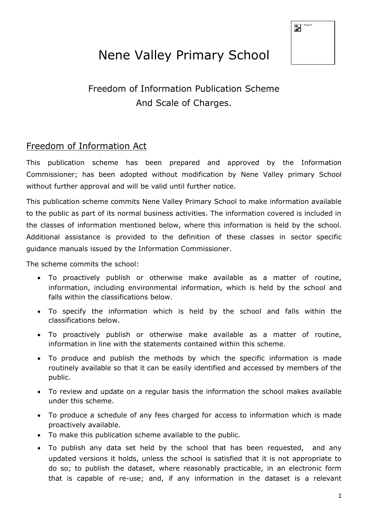| MVLogo-HR |
|-----------|
|           |
|           |
|           |

# Nene Valley Primary School

## Freedom of Information Publication Scheme And Scale of Charges.

## Freedom of Information Act

This publication scheme has been prepared and approved by the Information Commissioner; has been adopted without modification by Nene Valley primary School without further approval and will be valid until further notice.

This publication scheme commits Nene Valley Primary School to make information available to the public as part of its normal business activities. The information covered is included in the classes of information mentioned below, where this information is held by the school. Additional assistance is provided to the definition of these classes in sector specific guidance manuals issued by the Information Commissioner.

The scheme commits the school:

- To proactively publish or otherwise make available as a matter of routine, information, including environmental information, which is held by the school and falls within the classifications below.
- To specify the information which is held by the school and falls within the classifications below.
- To proactively publish or otherwise make available as a matter of routine, information in line with the statements contained within this scheme.
- To produce and publish the methods by which the specific information is made routinely available so that it can be easily identified and accessed by members of the public.
- To review and update on a regular basis the information the school makes available under this scheme.
- To produce a schedule of any fees charged for access to information which is made proactively available.
- To make this publication scheme available to the public.
- To publish any data set held by the school that has been requested, and any updated versions it holds, unless the school is satisfied that it is not appropriate to do so; to publish the dataset, where reasonably practicable, in an electronic form that is capable of re-use; and, if any information in the dataset is a relevant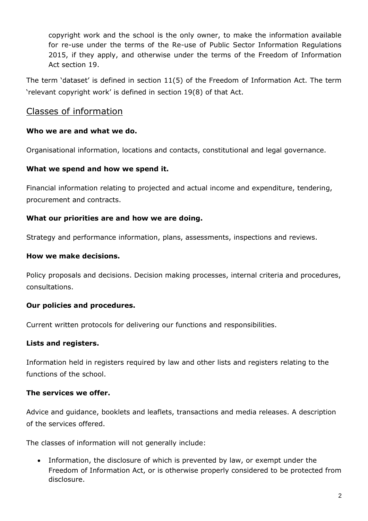copyright work and the school is the only owner, to make the information available for re-use under the terms of the Re-use of Public Sector Information Regulations 2015, if they apply, and otherwise under the terms of the Freedom of Information Act section 19.

The term 'dataset' is defined in section 11(5) of the Freedom of Information Act. The term 'relevant copyright work' is defined in section 19(8) of that Act.

#### Classes of information

#### **Who we are and what we do.**

Organisational information, locations and contacts, constitutional and legal governance.

#### **What we spend and how we spend it.**

Financial information relating to projected and actual income and expenditure, tendering, procurement and contracts.

#### **What our priorities are and how we are doing.**

Strategy and performance information, plans, assessments, inspections and reviews.

#### **How we make decisions.**

Policy proposals and decisions. Decision making processes, internal criteria and procedures, consultations.

#### **Our policies and procedures.**

Current written protocols for delivering our functions and responsibilities.

#### **Lists and registers.**

Information held in registers required by law and other lists and registers relating to the functions of the school.

#### **The services we offer.**

Advice and guidance, booklets and leaflets, transactions and media releases. A description of the services offered.

The classes of information will not generally include:

• Information, the disclosure of which is prevented by law, or exempt under the Freedom of Information Act, or is otherwise properly considered to be protected from disclosure.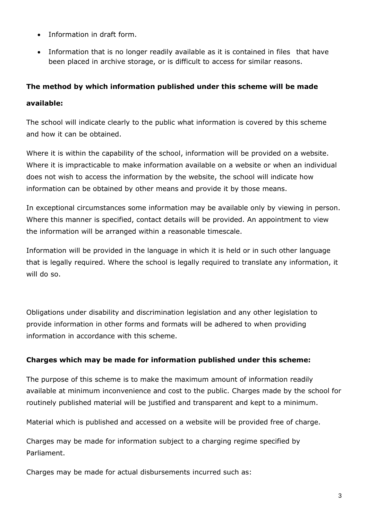- Information in draft form.
- Information that is no longer readily available as it is contained in files that have been placed in archive storage, or is difficult to access for similar reasons.

#### **The method by which information published under this scheme will be made**

#### **available:**

The school will indicate clearly to the public what information is covered by this scheme and how it can be obtained.

Where it is within the capability of the school, information will be provided on a website. Where it is impracticable to make information available on a website or when an individual does not wish to access the information by the website, the school will indicate how information can be obtained by other means and provide it by those means.

In exceptional circumstances some information may be available only by viewing in person. Where this manner is specified, contact details will be provided. An appointment to view the information will be arranged within a reasonable timescale.

Information will be provided in the language in which it is held or in such other language that is legally required. Where the school is legally required to translate any information, it will do so.

Obligations under disability and discrimination legislation and any other legislation to provide information in other forms and formats will be adhered to when providing information in accordance with this scheme.

#### **Charges which may be made for information published under this scheme:**

The purpose of this scheme is to make the maximum amount of information readily available at minimum inconvenience and cost to the public. Charges made by the school for routinely published material will be justified and transparent and kept to a minimum.

Material which is published and accessed on a website will be provided free of charge.

Charges may be made for information subject to a charging regime specified by Parliament.

Charges may be made for actual disbursements incurred such as: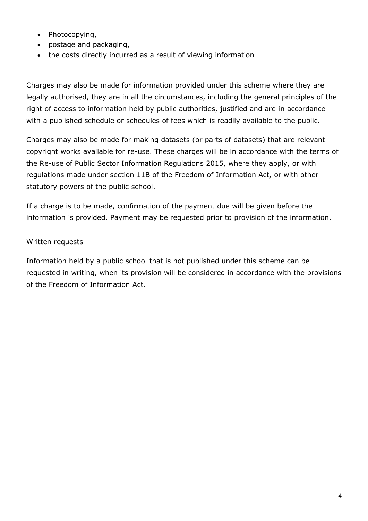- Photocopying,
- postage and packaging,
- the costs directly incurred as a result of viewing information

Charges may also be made for information provided under this scheme where they are legally authorised, they are in all the circumstances, including the general principles of the right of access to information held by public authorities, justified and are in accordance with a published schedule or schedules of fees which is readily available to the public.

Charges may also be made for making datasets (or parts of datasets) that are relevant copyright works available for re-use. These charges will be in accordance with the terms of the Re-use of Public Sector Information Regulations 2015, where they apply, or with regulations made under section 11B of the Freedom of Information Act, or with other statutory powers of the public school.

If a charge is to be made, confirmation of the payment due will be given before the information is provided. Payment may be requested prior to provision of the information.

#### Written requests

Information held by a public school that is not published under this scheme can be requested in writing, when its provision will be considered in accordance with the provisions of the Freedom of Information Act.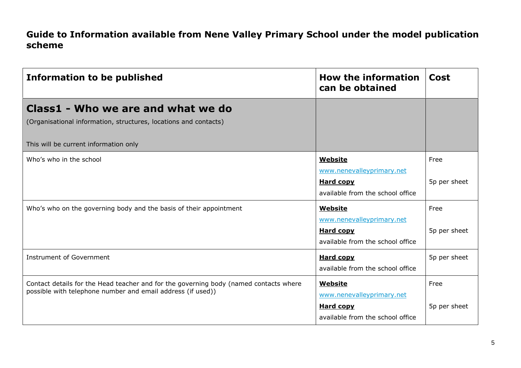## **Guide to Information available from Nene Valley Primary School under the model publication scheme**

| <b>Information to be published</b>                                                                                                                   | <b>How the information</b><br>can be obtained                                                       | Cost                 |
|------------------------------------------------------------------------------------------------------------------------------------------------------|-----------------------------------------------------------------------------------------------------|----------------------|
| Class1 - Who we are and what we do<br>(Organisational information, structures, locations and contacts)<br>This will be current information only      |                                                                                                     |                      |
| Who's who in the school                                                                                                                              | <b>Website</b><br>www.nenevalleyprimary.net<br><b>Hard copy</b><br>available from the school office | Free<br>5p per sheet |
| Who's who on the governing body and the basis of their appointment                                                                                   | <b>Website</b><br>www.nenevalleyprimary.net<br><b>Hard copy</b><br>available from the school office | Free<br>5p per sheet |
| <b>Instrument of Government</b>                                                                                                                      | <b>Hard copy</b><br>available from the school office                                                | 5p per sheet         |
| Contact details for the Head teacher and for the governing body (named contacts where<br>possible with telephone number and email address (if used)) | <b>Website</b><br>www.nenevalleyprimary.net<br><b>Hard copy</b><br>available from the school office | Free<br>5p per sheet |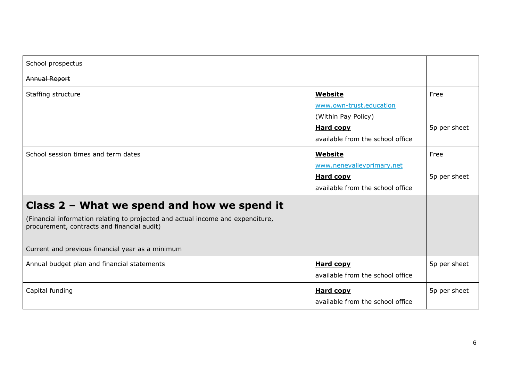| School prospectus                                                                                                                                                                                                                   |                                                                                                                          |                      |
|-------------------------------------------------------------------------------------------------------------------------------------------------------------------------------------------------------------------------------------|--------------------------------------------------------------------------------------------------------------------------|----------------------|
| <b>Annual Report</b>                                                                                                                                                                                                                |                                                                                                                          |                      |
| Staffing structure                                                                                                                                                                                                                  | <b>Website</b><br>www.own-trust.education<br>(Within Pay Policy)<br><b>Hard copy</b><br>available from the school office | Free<br>5p per sheet |
| School session times and term dates                                                                                                                                                                                                 | <b>Website</b><br>www.nenevalleyprimary.net<br><b>Hard copy</b><br>available from the school office                      | Free<br>5p per sheet |
| Class $2$ – What we spend and how we spend it<br>(Financial information relating to projected and actual income and expenditure,<br>procurement, contracts and financial audit)<br>Current and previous financial year as a minimum |                                                                                                                          |                      |
| Annual budget plan and financial statements                                                                                                                                                                                         | <b>Hard copy</b><br>available from the school office                                                                     | 5p per sheet         |
| Capital funding                                                                                                                                                                                                                     | <b>Hard copy</b><br>available from the school office                                                                     | 5p per sheet         |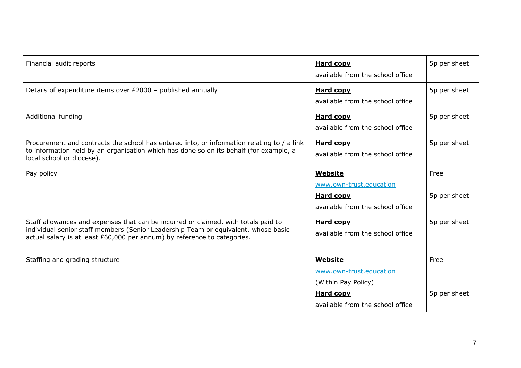| Financial audit reports                                                                                                                                                                                                                              | <b>Hard copy</b><br>available from the school office             | 5p per sheet |
|------------------------------------------------------------------------------------------------------------------------------------------------------------------------------------------------------------------------------------------------------|------------------------------------------------------------------|--------------|
| Details of expenditure items over £2000 - published annually                                                                                                                                                                                         | <b>Hard copy</b><br>available from the school office             | 5p per sheet |
| Additional funding                                                                                                                                                                                                                                   | <b>Hard copy</b><br>available from the school office             | 5p per sheet |
| Procurement and contracts the school has entered into, or information relating to / a link<br>to information held by an organisation which has done so on its behalf (for example, a<br>local school or diocese).                                    | <b>Hard copy</b><br>available from the school office             | 5p per sheet |
| Pay policy                                                                                                                                                                                                                                           | Website<br>www.own-trust.education                               | Free         |
|                                                                                                                                                                                                                                                      | <b>Hard copy</b><br>available from the school office             | 5p per sheet |
| Staff allowances and expenses that can be incurred or claimed, with totals paid to<br>individual senior staff members (Senior Leadership Team or equivalent, whose basic<br>actual salary is at least £60,000 per annum) by reference to categories. | <b>Hard copy</b><br>available from the school office             | 5p per sheet |
| Staffing and grading structure                                                                                                                                                                                                                       | <b>Website</b><br>www.own-trust.education<br>(Within Pay Policy) | Free         |
|                                                                                                                                                                                                                                                      | <b>Hard copy</b><br>available from the school office             | 5p per sheet |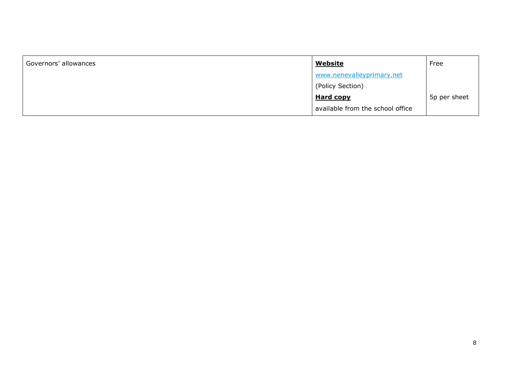| Governors' allowances | <u>Website</u>                   | Free         |
|-----------------------|----------------------------------|--------------|
|                       | www.nenevalleyprimary.net        |              |
|                       | (Policy Section)                 |              |
|                       | <b>Hard copy</b>                 | 5p per sheet |
|                       | available from the school office |              |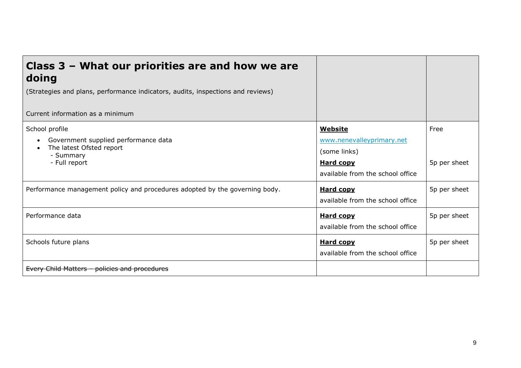| Class $3$ – What our priorities are and how we are<br>doing                                                                                |                                                                                                                     |                      |
|--------------------------------------------------------------------------------------------------------------------------------------------|---------------------------------------------------------------------------------------------------------------------|----------------------|
| (Strategies and plans, performance indicators, audits, inspections and reviews)                                                            |                                                                                                                     |                      |
| Current information as a minimum                                                                                                           |                                                                                                                     |                      |
| School profile<br>Government supplied performance data<br>$\bullet$<br>The latest Ofsted report<br>$\bullet$<br>- Summary<br>- Full report | <b>Website</b><br>www.nenevalleyprimary.net<br>(some links)<br><b>Hard copy</b><br>available from the school office | Free<br>5p per sheet |
| Performance management policy and procedures adopted by the governing body.                                                                | <b>Hard copy</b><br>available from the school office                                                                | 5p per sheet         |
| Performance data                                                                                                                           | <b>Hard copy</b><br>available from the school office                                                                | 5p per sheet         |
| Schools future plans                                                                                                                       | <b>Hard copy</b><br>available from the school office                                                                | 5p per sheet         |
| Every Child Matters - policies and procedures                                                                                              |                                                                                                                     |                      |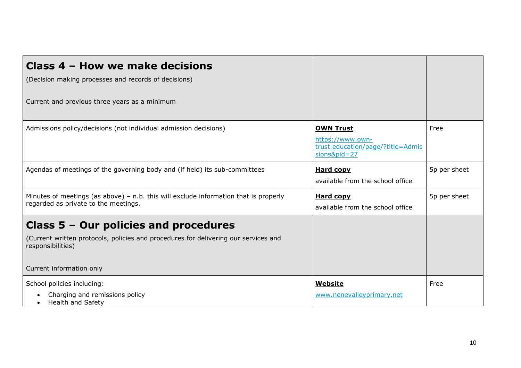| Class 4 - How we make decisions<br>(Decision making processes and records of decisions)<br>Current and previous three years as a minimum                                        |                                                                                             |              |
|---------------------------------------------------------------------------------------------------------------------------------------------------------------------------------|---------------------------------------------------------------------------------------------|--------------|
| Admissions policy/decisions (not individual admission decisions)                                                                                                                | <b>OWN Trust</b><br>https://www.own-<br>trust.education/page/?title=Admis<br>$sions&pid=27$ | Free         |
| Agendas of meetings of the governing body and (if held) its sub-committees                                                                                                      | <b>Hard copy</b><br>available from the school office                                        | 5p per sheet |
| Minutes of meetings (as above) $-$ n.b. this will exclude information that is properly<br>regarded as private to the meetings.                                                  | <b>Hard copy</b><br>available from the school office                                        | 5p per sheet |
| Class $5 -$ Our policies and procedures<br>(Current written protocols, policies and procedures for delivering our services and<br>responsibilities)<br>Current information only |                                                                                             |              |
| School policies including:<br>Charging and remissions policy<br>Health and Safety                                                                                               | <b>Website</b><br>www.nenevalleyprimary.net                                                 | Free         |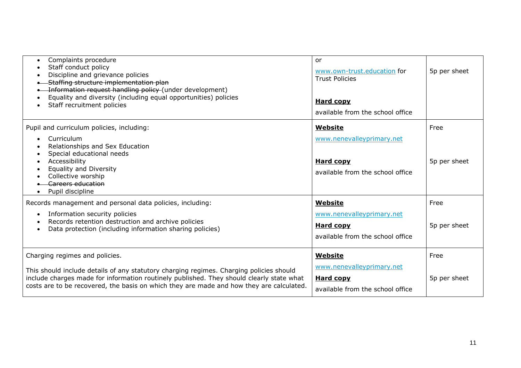| Complaints procedure<br>$\bullet$<br>Staff conduct policy<br>Discipline and grievance policies<br>-Staffing structure implementation plan<br>-Information request handling policy (under development)<br>Equality and diversity (including equal opportunities) policies<br>Staff recruitment policies            | <b>or</b><br>www.own-trust.education for<br><b>Trust Policies</b><br><b>Hard copy</b><br>available from the school office | 5p per sheet         |
|-------------------------------------------------------------------------------------------------------------------------------------------------------------------------------------------------------------------------------------------------------------------------------------------------------------------|---------------------------------------------------------------------------------------------------------------------------|----------------------|
| Pupil and curriculum policies, including:<br>Curriculum<br>Relationships and Sex Education<br>Special educational needs<br>Accessibility<br><b>Equality and Diversity</b><br>Collective worship<br>Careers education<br>Pupil discipline                                                                          | <b>Website</b><br>www.nenevalleyprimary.net<br><b>Hard copy</b><br>available from the school office                       | Free<br>5p per sheet |
| Records management and personal data policies, including:<br>Information security policies<br>$\bullet$<br>Records retention destruction and archive policies<br>Data protection (including information sharing policies)                                                                                         | <b>Website</b><br>www.nenevalleyprimary.net<br><b>Hard copy</b><br>available from the school office                       | Free<br>5p per sheet |
| Charging regimes and policies.<br>This should include details of any statutory charging regimes. Charging policies should<br>include charges made for information routinely published. They should clearly state what<br>costs are to be recovered, the basis on which they are made and how they are calculated. | <b>Website</b><br>www.nenevalleyprimary.net<br><b>Hard copy</b><br>available from the school office                       | Free<br>5p per sheet |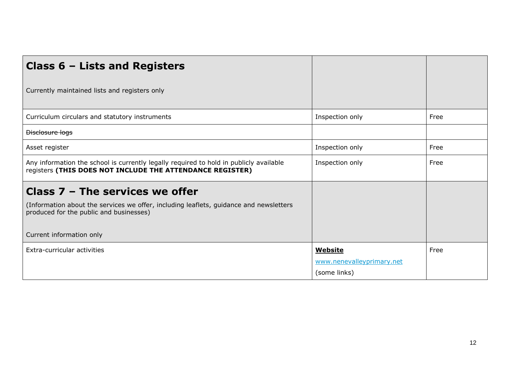| <b>Class 6 - Lists and Registers</b>                                                                                                                |                           |      |
|-----------------------------------------------------------------------------------------------------------------------------------------------------|---------------------------|------|
| Currently maintained lists and registers only                                                                                                       |                           |      |
| Curriculum circulars and statutory instruments                                                                                                      | Inspection only           | Free |
| Disclosure logs                                                                                                                                     |                           |      |
| Asset register                                                                                                                                      | Inspection only           | Free |
| Any information the school is currently legally required to hold in publicly available<br>registers (THIS DOES NOT INCLUDE THE ATTENDANCE REGISTER) | Inspection only           | Free |
| Class $7$ – The services we offer                                                                                                                   |                           |      |
| (Information about the services we offer, including leaflets, guidance and newsletters<br>produced for the public and businesses)                   |                           |      |
| Current information only                                                                                                                            |                           |      |
| Extra-curricular activities                                                                                                                         | <b>Website</b>            | Free |
|                                                                                                                                                     | www.nenevalleyprimary.net |      |
|                                                                                                                                                     | (some links)              |      |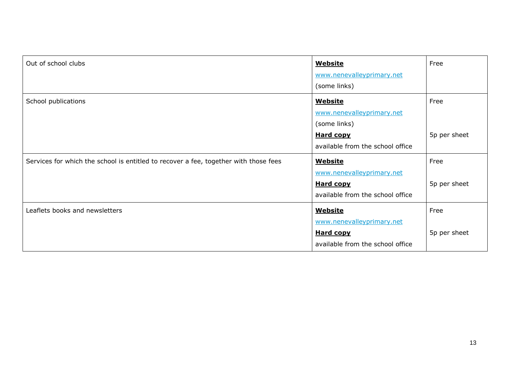| Out of school clubs                                                                  | <b>Website</b><br>www.nenevalleyprimary.net<br>(some links)                                                         | Free                 |
|--------------------------------------------------------------------------------------|---------------------------------------------------------------------------------------------------------------------|----------------------|
| School publications                                                                  | <b>Website</b><br>www.nenevalleyprimary.net<br>(some links)<br><b>Hard copy</b><br>available from the school office | Free<br>5p per sheet |
| Services for which the school is entitled to recover a fee, together with those fees | <b>Website</b><br>www.nenevalleyprimary.net<br><b>Hard copy</b><br>available from the school office                 | Free<br>5p per sheet |
| Leaflets books and newsletters                                                       | <b>Website</b><br>www.nenevalleyprimary.net<br><b>Hard copy</b><br>available from the school office                 | Free<br>5p per sheet |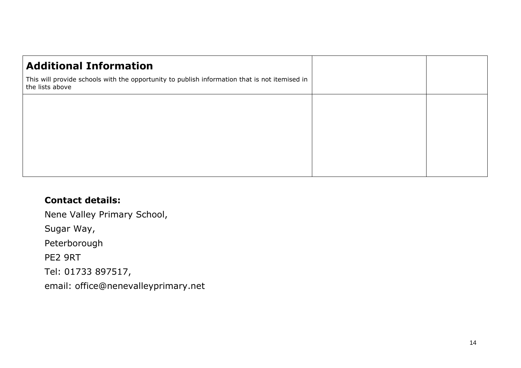| <b>Additional Information</b>                                                                                    |  |
|------------------------------------------------------------------------------------------------------------------|--|
| This will provide schools with the opportunity to publish information that is not itemised in<br>the lists above |  |
|                                                                                                                  |  |
|                                                                                                                  |  |
|                                                                                                                  |  |
|                                                                                                                  |  |
|                                                                                                                  |  |

## **Contact details:**

Nene Valley Primary School, Sugar Way, Peterborough PE2 9RT Tel: 01733 897517, email: office@nenevalleyprimary.net